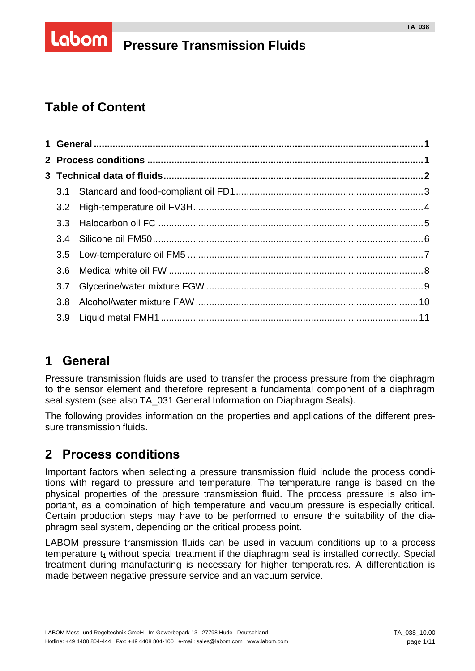# **Pressure Transmission Fluids**

# **Table of Content**

Labom

|  | 3.6              |  |  |  |  |
|--|------------------|--|--|--|--|
|  | 3.7              |  |  |  |  |
|  | 3.8 <sup>°</sup> |  |  |  |  |
|  | 3.9              |  |  |  |  |
|  |                  |  |  |  |  |

# <span id="page-0-0"></span>**1 General**

Pressure transmission fluids are used to transfer the process pressure from the diaphragm to the sensor element and therefore represent a fundamental component of a diaphragm seal system (see also TA\_031 General Information on Diaphragm Seals).

The following provides information on the properties and applications of the different pressure transmission fluids.

# <span id="page-0-1"></span>**2 Process conditions**

Important factors when selecting a pressure transmission fluid include the process conditions with regard to pressure and temperature. The temperature range is based on the physical properties of the pressure transmission fluid. The process pressure is also important, as a combination of high temperature and vacuum pressure is especially critical. Certain production steps may have to be performed to ensure the suitability of the diaphragm seal system, depending on the critical process point.

LABOM pressure transmission fluids can be used in vacuum conditions up to a process temperature  $t_1$  without special treatment if the diaphragm seal is installed correctly. Special treatment during manufacturing is necessary for higher temperatures. A differentiation is made between negative pressure service and an vacuum service.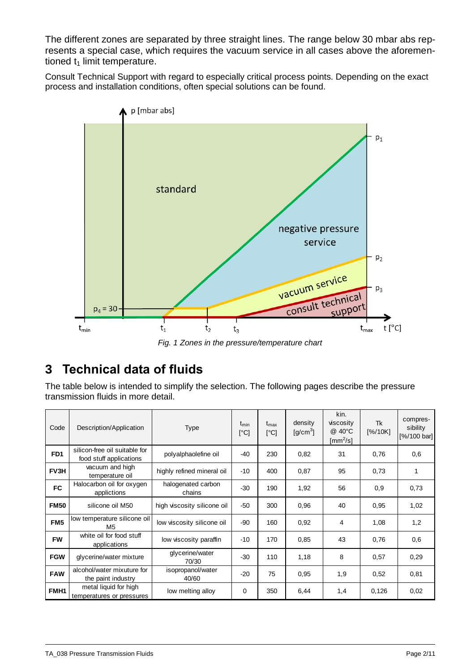The different zones are separated by three straight lines. The range below 30 mbar abs represents a special case, which requires the vacuum service in all cases above the aforementioned  $t_1$  limit temperature.

Consult Technical Support with regard to especially critical process points. Depending on the exact process and installation conditions, often special solutions can be found.



*Fig. 1 Zones in the pressure/temperature chart*

# <span id="page-1-0"></span>**3 Technical data of fluids**

The table below is intended to simplify the selection. The following pages describe the pressure transmission fluids in more detail.

| Code             | Description/Application                                  | <b>Type</b>                  | $t_{\text{min}}$<br>[°C] | $t_{\text{max}}$<br>[°C] | density<br>$[g/cm^3]$ | kin.<br>viscosity<br>@ 40°C<br>$\textsf{[mm}^2\text{/s]}$ | Tk<br>[%/10K] | compres-<br>sibility<br>[%/100 bar] |
|------------------|----------------------------------------------------------|------------------------------|--------------------------|--------------------------|-----------------------|-----------------------------------------------------------|---------------|-------------------------------------|
| FD <sub>1</sub>  | silicon-free oil suitable for<br>food stuff applications | polyalphaolefine oil         | -40                      | 230                      | 0,82                  | 31                                                        | 0,76          | 0,6                                 |
| FV3H             | vacuum and high<br>temperature oil                       | highly refined mineral oil   | $-10$                    | 400                      | 0,87                  | 95                                                        | 0.73          | 1                                   |
| FC               | Halocarbon oil for oxygen<br>applictions                 | halogenated carbon<br>chains | $-30$                    | 190                      | 1,92                  | 56                                                        | 0,9           | 0,73                                |
| <b>FM50</b>      | silicone oil M50                                         | high viscosity silicone oil  | $-50$                    | 300                      | 0,96                  | 40                                                        | 0,95          | 1,02                                |
| FM <sub>5</sub>  | low temperature silicone oil<br>M5                       | low viscosity silicone oil   | -90                      | 160                      | 0,92                  | 4                                                         | 1,08          | 1,2                                 |
| <b>FW</b>        | white oil for food stuff<br>applications                 | low viscosity paraffin       | $-10$                    | 170                      | 0,85                  | 43                                                        | 0,76          | 0,6                                 |
| <b>FGW</b>       | glycerine/water mixture                                  | glycerine/water<br>70/30     | $-30$                    | 110                      | 1,18                  | 8                                                         | 0,57          | 0,29                                |
| <b>FAW</b>       | alcohol/water mixuture for<br>the paint industry         | isopropanol/water<br>40/60   | $-20$                    | 75                       | 0,95                  | 1,9                                                       | 0,52          | 0,81                                |
| FMH <sub>1</sub> | metal liquid for high<br>temperatures or pressures       | low melting alloy            | 0                        | 350                      | 6,44                  | 1,4                                                       | 0,126         | 0,02                                |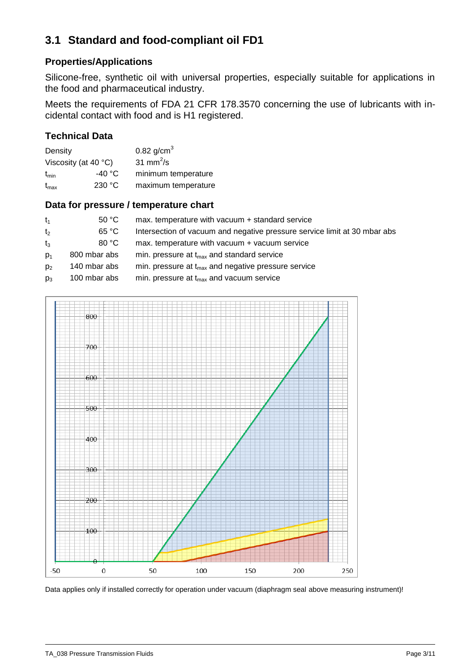# <span id="page-2-0"></span>**3.1 Standard and food-compliant oil FD1**

#### **Properties/Applications**

Silicone-free, synthetic oil with universal properties, especially suitable for applications in the food and pharmaceutical industry.

Meets the requirements of FDA 21 CFR 178.3570 concerning the use of lubricants with incidental contact with food and is H1 registered.

#### **Technical Data**

| Density                        |         | 0.82 $g/cm3$        |  |
|--------------------------------|---------|---------------------|--|
| Viscosity (at 40 $^{\circ}$ C) |         | 31 mm $^2$ /s       |  |
| $t_{\text{min}}$               | -40 °C. | minimum temperature |  |
| $t_{\text{max}}$               | 230 °C  | maximum temperature |  |

#### **Data for pressure / temperature chart**

| $t_1$          | 50 °C        | max. temperature with vacuum + standard service                           |
|----------------|--------------|---------------------------------------------------------------------------|
| t <sub>2</sub> | 65 °C        | Intersection of vacuum and negative pressure service limit at 30 mbar abs |
| $t_3$          | 80 °C        | max. temperature with vacuum + vacuum service                             |
| $D_1$          | 800 mbar abs | min. pressure at $t_{max}$ and standard service                           |
| p <sub>2</sub> | 140 mbar abs | min. pressure at $t_{max}$ and negative pressure service                  |
| $p_3$          | 100 mbar abs | min. pressure at $t_{\text{max}}$ and vacuum service                      |

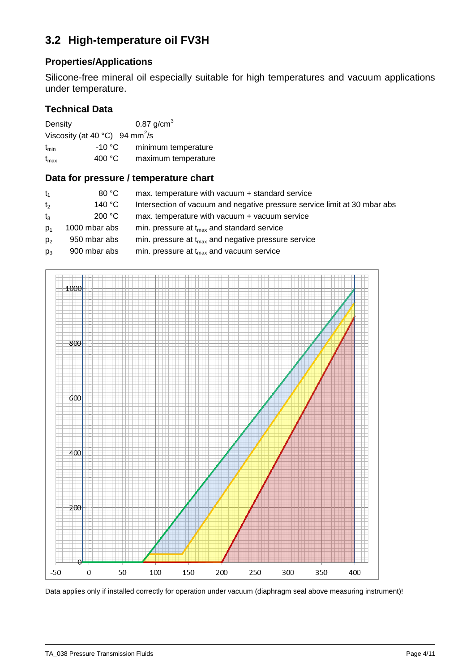## <span id="page-3-0"></span>**3.2 High-temperature oil FV3H**

## **Properties/Applications**

Silicone-free mineral oil especially suitable for high temperatures and vacuum applications under temperature.

#### **Technical Data**

| Density                                              |                 | 0.87 $g/cm3$        |
|------------------------------------------------------|-----------------|---------------------|
| Viscosity (at 40 $^{\circ}$ C) 94 mm <sup>2</sup> /s |                 |                     |
| $t_{\text{min}}$                                     | -10 °C          | minimum temperature |
| $t_{\text{max}}$                                     | 400 $\degree$ C | maximum temperature |

#### **Data for pressure / temperature chart**

| $t_1$          | 80 °C         | max. temperature with vacuum + standard service                           |
|----------------|---------------|---------------------------------------------------------------------------|
| t <sub>2</sub> | 140 °C        | Intersection of vacuum and negative pressure service limit at 30 mbar abs |
| $t_3$          | 200 °C        | max. temperature with vacuum + vacuum service                             |
| $D_1$          | 1000 mbar abs | min. pressure at $t_{max}$ and standard service                           |
| D <sub>2</sub> | 950 mbar abs  | min. pressure at $t_{max}$ and negative pressure service                  |
| $D_3$          | 900 mbar abs  | min. pressure at $t_{max}$ and vacuum service                             |

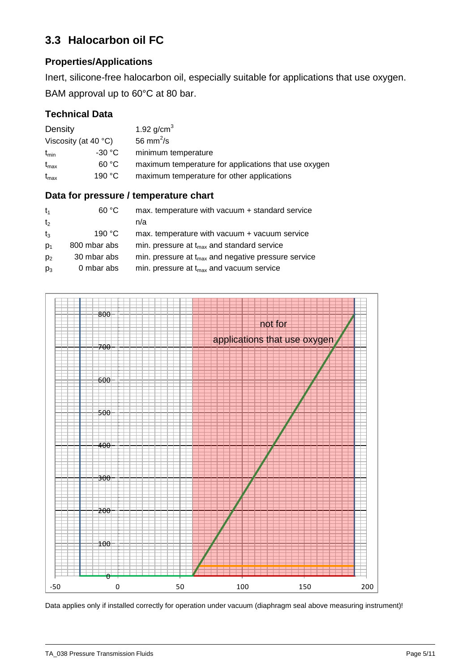# <span id="page-4-0"></span>**3.3 Halocarbon oil FC**

## **Properties/Applications**

Inert, silicone-free halocarbon oil, especially suitable for applications that use oxygen. BAM approval up to 60°C at 80 bar.

## **Technical Data**

| Density                        | 1.92 $g/cm^{3}$                                      |
|--------------------------------|------------------------------------------------------|
| Viscosity (at 40 $^{\circ}$ C) | 56 mm <sup>2</sup> /s                                |
| -30 °C<br>$t_{\text{min}}$     | minimum temperature                                  |
| 60 °C<br>$t_{\text{max}}$      | maximum temperature for applications that use oxygen |
| 190 °C<br>$t_{\text{max}}$     | maximum temperature for other applications           |

#### **Data for pressure / temperature chart**

| $t_1$          | 60 °C            | max. temperature with vacuum + standard service          |
|----------------|------------------|----------------------------------------------------------|
| t <sub>2</sub> |                  | n/a                                                      |
| $t_3$          | 190 $^{\circ}$ C | max. temperature with vacuum + vacuum service            |
| $D_1$          | 800 mbar abs     | min. pressure at $t_{max}$ and standard service          |
| p <sub>2</sub> | 30 mbar abs      | min. pressure at $t_{max}$ and negative pressure service |
| $p_3$          | 0 mbar abs       | min. pressure at $t_{\text{max}}$ and vacuum service     |

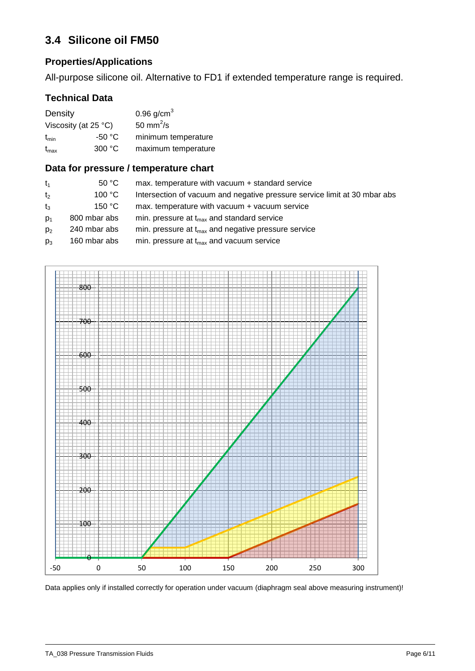# <span id="page-5-0"></span>**3.4 Silicone oil FM50**

## **Properties/Applications**

All-purpose silicone oil. Alternative to FD1 if extended temperature range is required.

## **Technical Data**

| Density                 |                 | 0.96 $g/cm3$          |  |  |
|-------------------------|-----------------|-----------------------|--|--|
| Viscosity (at $25 °C$ ) |                 | 50 mm <sup>2</sup> /s |  |  |
| $t_{\text{min}}$        | -50 °C          | minimum temperature   |  |  |
| $t_{\sf max}$           | 300 $\degree$ C | maximum temperature   |  |  |

#### **Data for pressure / temperature chart**

| $t_1$          | 50 °C        | max. temperature with vacuum + standard service                           |
|----------------|--------------|---------------------------------------------------------------------------|
| t <sub>2</sub> | 100 °C       | Intersection of vacuum and negative pressure service limit at 30 mbar abs |
| $t_3$          | 150 °C       | max. temperature with vacuum + vacuum service                             |
| $D_1$          | 800 mbar abs | min. pressure at $t_{max}$ and standard service                           |
| p <sub>2</sub> | 240 mbar abs | min. pressure at $t_{max}$ and negative pressure service                  |
| $p_3$          | 160 mbar abs | min. pressure at $t_{\text{max}}$ and vacuum service                      |

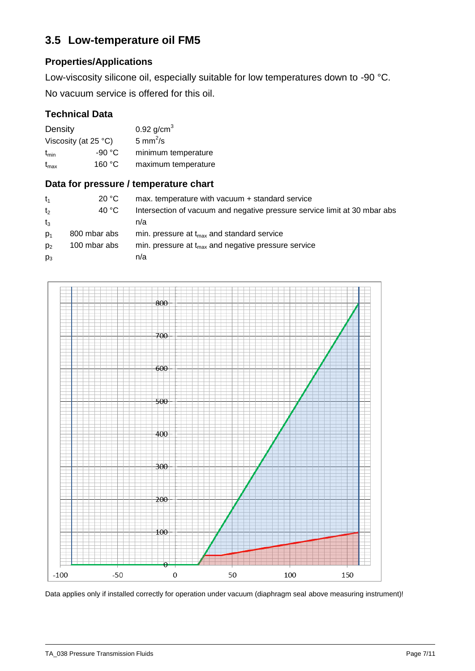## <span id="page-6-0"></span>**3.5 Low-temperature oil FM5**

## **Properties/Applications**

Low-viscosity silicone oil, especially suitable for low temperatures down to -90 °C. No vacuum service is offered for this oil.

## **Technical Data**

| Density                 |         | 0.92 $g/cm^{3}$      |  |  |
|-------------------------|---------|----------------------|--|--|
| Viscosity (at $25 °C$ ) |         | 5 mm <sup>2</sup> /s |  |  |
| $t_{\text{min}}$        | -90 °C. | minimum temperature  |  |  |
| $t_{\text{max}}$        | 160 °C  | maximum temperature  |  |  |

#### **Data for pressure / temperature chart**

| $t_1$          | 20 °C        | max. temperature with vacuum + standard service                           |
|----------------|--------------|---------------------------------------------------------------------------|
| t <sub>2</sub> | 40 °C        | Intersection of vacuum and negative pressure service limit at 30 mbar abs |
| $t_{3}$        |              | n/a                                                                       |
| $D_1$          | 800 mbar abs | min. pressure at $t_{max}$ and standard service                           |
| D <sub>2</sub> | 100 mbar abs | min. pressure at $t_{max}$ and negative pressure service                  |
| $p_3$          |              | n/a                                                                       |

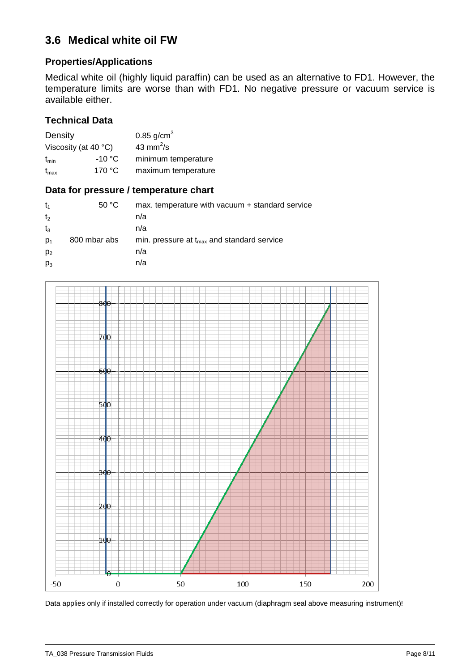## <span id="page-7-0"></span>**3.6 Medical white oil FW**

## **Properties/Applications**

Medical white oil (highly liquid paraffin) can be used as an alternative to FD1. However, the temperature limits are worse than with FD1. No negative pressure or vacuum service is available either.

#### **Technical Data**

| Density                        |                 | 0.85 $g/cm3$        |
|--------------------------------|-----------------|---------------------|
| Viscosity (at 40 $^{\circ}$ C) |                 | 43 mm $^2$ /s       |
| $t_{\text{min}}$               | $-10 °C$        | minimum temperature |
| $t_{\text{max}}$               | 170 $\degree$ C | maximum temperature |

#### **Data for pressure / temperature chart**

| $t_{1}$        | 50 °C        | max. temperature with vacuum + standard service        |
|----------------|--------------|--------------------------------------------------------|
| t <sub>2</sub> |              | n/a                                                    |
| $t_3$          |              | n/a                                                    |
| $p_1$          | 800 mbar abs | min. pressure at $t_{\text{max}}$ and standard service |
| p <sub>2</sub> |              | n/a                                                    |
| $p_3$          |              | n/a                                                    |

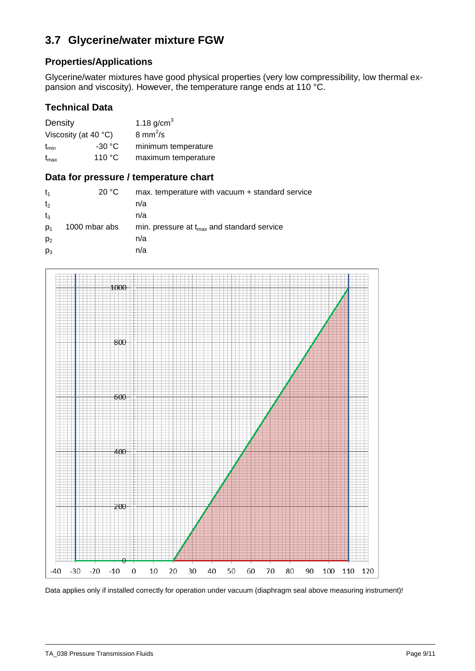# <span id="page-8-0"></span>**3.7 Glycerine/water mixture FGW**

#### **Properties/Applications**

Glycerine/water mixtures have good physical properties (very low compressibility, low thermal expansion and viscosity). However, the temperature range ends at 110 °C.

#### **Technical Data**

| Density                       |                 | 1.18 $g/cm^{3}$           |
|-------------------------------|-----------------|---------------------------|
| Viscosity (at 40 $\degree$ C) |                 | $8 \text{ mm}^2/\text{s}$ |
| $t_{\text{min}}$              | $-30 °C$        | minimum temperature       |
| $t_{\sf max}$                 | 110 $\degree$ C | maximum temperature       |

#### **Data for pressure / temperature chart**

| t,             | 20 °C         | max. temperature with vacuum + standard service        |
|----------------|---------------|--------------------------------------------------------|
| t <sub>2</sub> |               | n/a                                                    |
| $t_3$          |               | n/a                                                    |
| D <sub>1</sub> | 1000 mbar abs | min. pressure at $t_{\text{max}}$ and standard service |
| $p_2$          |               | n/a                                                    |
| $p_3$          |               | n/a                                                    |

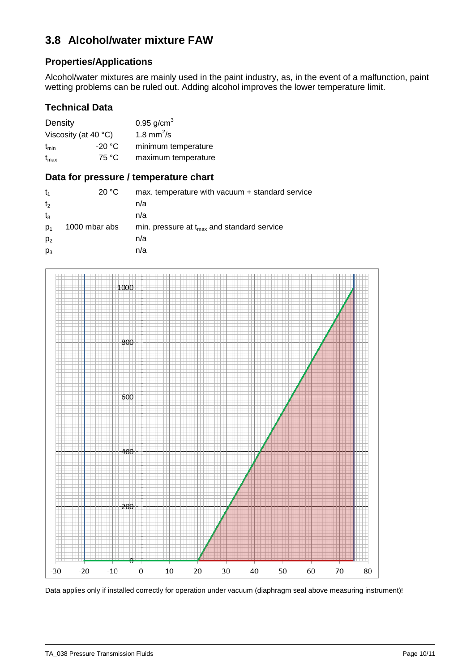## <span id="page-9-0"></span>**3.8 Alcohol/water mixture FAW**

#### **Properties/Applications**

Alcohol/water mixtures are mainly used in the paint industry, as, in the event of a malfunction, paint wetting problems can be ruled out. Adding alcohol improves the lower temperature limit.

#### **Technical Data**

| Density                       |        | 0.95 $g/cm^{3}$        |
|-------------------------------|--------|------------------------|
| Viscosity (at 40 $\degree$ C) |        | 1.8 mm <sup>2</sup> /s |
| $t_{\text{min}}$              | -20 °C | minimum temperature    |
| $t_{\sf max}$                 | 75 °C  | maximum temperature    |

#### **Data for pressure / temperature chart**

| $t_1$          | 20 °C         | max. temperature with vacuum + standard service        |
|----------------|---------------|--------------------------------------------------------|
| t <sub>2</sub> |               | n/a                                                    |
| $t_3$          |               | n/a                                                    |
| D <sub>1</sub> | 1000 mbar abs | min. pressure at $t_{\text{max}}$ and standard service |
| p <sub>2</sub> |               | n/a                                                    |
| $p_3$          |               | n/a                                                    |